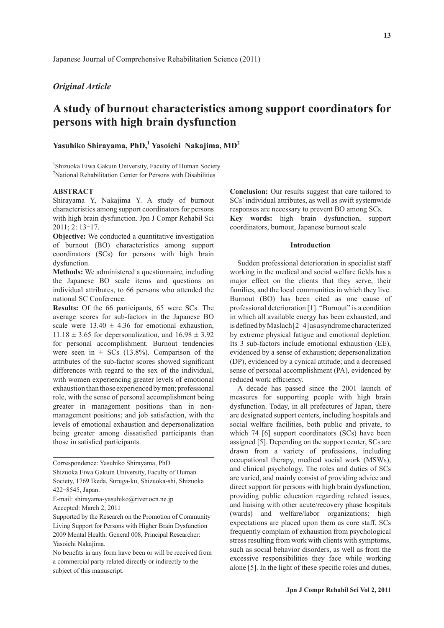# *Original Article*

# **A study of burnout characteristics among support coordinators for persons with high brain dysfunction**

# **Yasuhiko Shirayama, PhD,<sup>1</sup> Yasoichi Nakajima, MD<sup>2</sup>**

<sup>1</sup>Shizuoka Eiwa Gakuin University, Faculty of Human Society <sup>2</sup>National Rehabilitation Center for Persons with Disabilities

# **ABSTRACT**

Shirayama Y, Nakajima Y. A study of burnout characteristics among support coordinators for persons with high brain dysfunction. Jpn J Compr Rehabil Sci 2011; 2: 13‒17.

**Objective:** We conducted a quantitative investigation of burnout (BO) characteristics among support coordinators (SCs) for persons with high brain dysfunction.

**Methods:** We administered a questionnaire, including the Japanese BO scale items and questions on individual attributes, to 66 persons who attended the national SC Conference.

**Results:** Of the 66 participants, 65 were SCs. The average scores for sub-factors in the Japanese BO scale were  $13.40 \pm 4.36$  for emotional exhaustion,  $11.18 \pm 3.65$  for depersonalization, and  $16.98 \pm 3.92$ for personal accomplishment. Burnout tendencies were seen in  $\pm$  SCs (13.8%). Comparison of the attributes of the sub-factor scores showed significant differences with regard to the sex of the individual, with women experiencing greater levels of emotional exhaustion than those experienced by men; professional role, with the sense of personal accomplishment being greater in management positions than in nonmanagement positions; and job satisfaction, with the levels of emotional exhaustion and depersonalization being greater among dissatisfied participants than those in satisfied participants.

**Conclusion:** Our results suggest that care tailored to SCs' individual attributes, as well as swift systemwide responses are necessary to prevent BO among SCs. **Key words:** high brain dysfunction, support coordinators, burnout, Japanese burnout scale

#### **Introduction**

Sudden professional deterioration in specialist staff working in the medical and social welfare fields has a major effect on the clients that they serve, their families, and the local communities in which they live. Burnout (BO) has been cited as one cause of professional deterioration [1]. "Burnout" is a condition in which all available energy has been exhausted, and is defined by Maslach  $[2-4]$  as a syndrome characterized by extreme physical fatigue and emotional depletion. Its 3 sub-factors include emotional exhaustion (EE), evidenced by a sense of exhaustion; depersonalization (DP), evidenced by a cynical attitude; and a decreased sense of personal accomplishment (PA), evidenced by reduced work efficiency.

A decade has passed since the 2001 launch of measures for supporting people with high brain dysfunction. Today, in all prefectures of Japan, there are designated support centers, including hospitals and social welfare facilities, both public and private, to which 74 [6] support coordinators (SCs) have been assigned [5]. Depending on the support center, SCs are drawn from a variety of professions, including occupational therapy, medical social work (MSWs), and clinical psychology. The roles and duties of SCs are varied, and mainly consist of providing advice and direct support for persons with high brain dysfunction, providing public education regarding related issues, and liaising with other acute/recovery phase hospitals (wards) and welfare/labor organizations; high expectations are placed upon them as core staff. SCs frequently complain of exhaustion from psychological stress resulting from work with clients with symptoms, such as social behavior disorders, as well as from the excessive responsibilities they face while working alone  $[5]$ . In the light of these specific roles and duties,

Correspondence: Yasuhiko Shirayama, PhD Shizuoka Eiwa Gakuin University, Faculty of Human Society, 1769 Ikeda, Suruga-ku, Shizuoka-shi, Shizuoka 422‒8545, Japan.

E-mail: shirayama-yasuhiko@river.ocn.ne.jp

Accepted: March 2, 2011

Supported by the Research on the Promotion of Community Living Support for Persons with Higher Brain Dysfunction 2009 Mental Health: General 008, Principal Researcher: Yasoichi Nakajima.

No benefits in any form have been or will be received from a commercial party related directly or indirectly to the subject of this manuscript.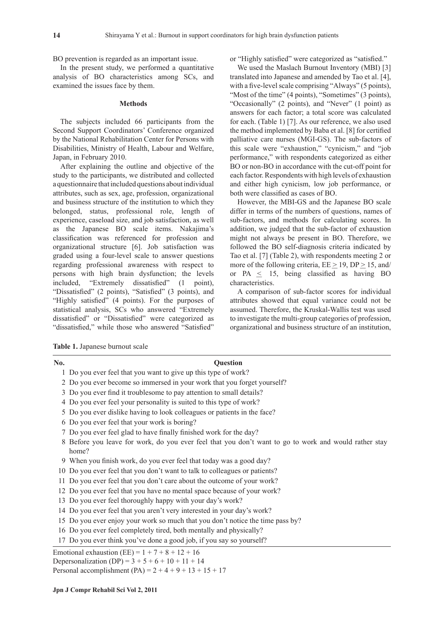BO prevention is regarded as an important issue.

In the present study, we performed a quantitative analysis of BO characteristics among SCs, and examined the issues face by them.

#### **Methods**

The subjects included 66 participants from the Second Support Coordinators' Conference organized by the National Rehabilitation Center for Persons with Disabilities, Ministry of Health, Labour and Welfare, Japan, in February 2010.

After explaining the outline and objective of the study to the participants, we distributed and collected a questionnaire that included questions about individual attributes, such as sex, age, profession, organizational and business structure of the institution to which they belonged, status, professional role, length of experience, caseload size, and job satisfaction, as well as the Japanese BO scale items. Nakajima's classification was referenced for profession and organizational structure [6]. Job satisfaction was graded using a four-level scale to answer questions regarding professional awareness with respect to persons with high brain dysfunction; the levels included, "Extremely dissatisfied" (1 point), "Dissatisfied" (2 points), "Satisfied" (3 points), and "Highly satisfied" (4 points). For the purposes of statistical analysis, SCs who answered "Extremely dissatisfied" or "Dissatisfied" were categorized as "dissatisfied," while those who answered "Satisfied" or "Highly satisfied" were categorized as "satisfied."

We used the Maslach Burnout Inventory (MBI) [3] translated into Japanese and amended by Tao et al. [4], with a five-level scale comprising "Always" (5 points), "Most of the time" (4 points), "Sometimes" (3 points), "Occasionally" (2 points), and "Never" (1 point) as answers for each factor; a total score was calculated for each. (Table 1) [7]. As our reference, we also used the method implemented by Baba et al. [8] for certified palliative care nurses (MGI-GS). The sub-factors of this scale were "exhaustion," "cynicism," and "job performance," with respondents categorized as either BO or non-BO in accordance with the cut-off point for each factor. Respondents with high levels of exhaustion and either high cynicism, low job performance, or both were classified as cases of BO.

However, the MBI-GS and the Japanese BO scale differ in terms of the numbers of questions, names of sub-factors, and methods for calculating scores. In addition, we judged that the sub-factor of exhaustion might not always be present in BO. Therefore, we followed the BO self-diagnosis criteria indicated by Tao et al. [7] (Table 2), with respondents meeting 2 or more of the following criteria,  $EE \ge 19$ ,  $DP \ge 15$ , and/ or  $PA \leq 15$ , being classified as having BO characteristics.

A comparison of sub-factor scores for individual attributes showed that equal variance could not be assumed. Therefore, the Kruskal-Wallis test was used to investigate the multi-group categories of profession, organizational and business structure of an institution,

**Table 1.** Japanese burnout scale

| No. | <b>Ouestion</b>                                                                                                |
|-----|----------------------------------------------------------------------------------------------------------------|
|     | 1 Do you ever feel that you want to give up this type of work?                                                 |
|     | 2 Do you ever become so immersed in your work that you forget yourself?                                        |
|     | 3 Do you ever find it troublesome to pay attention to small details?                                           |
|     | 4 Do you ever feel your personality is suited to this type of work?                                            |
|     | 5 Do you ever dislike having to look colleagues or patients in the face?                                       |
|     | 6 Do you ever feel that your work is boring?                                                                   |
|     | 7 Do you ever feel glad to have finally finished work for the day?                                             |
|     | 8 Before you leave for work, do you ever feel that you don't want to go to work and would rather stay<br>home? |
|     | 9 When you finish work, do you ever feel that today was a good day?                                            |
|     | 10 Do you ever feel that you don't want to talk to colleagues or patients?                                     |
|     | 11 Do you ever feel that you don't care about the outcome of your work?                                        |
|     | 12 Do you ever feel that you have no mental space because of your work?                                        |
|     | 13 Do you ever feel thoroughly happy with your day's work?                                                     |
|     | 14 Do you ever feel that you aren't very interested in your day's work?                                        |

15 Do you ever enjoy your work so much that you don't notice the time pass by?

16 Do you ever feel completely tired, both mentally and physically?

## 17 Do you ever think you've done a good job, if you say so yourself?

Emotional exhaustion (EE) =  $1 + 7 + 8 + 12 + 16$ Depersonalization (DP) =  $3 + 5 + 6 + 10 + 11 + 14$ Personal accomplishment (PA) =  $2 + 4 + 9 + 13 + 15 + 17$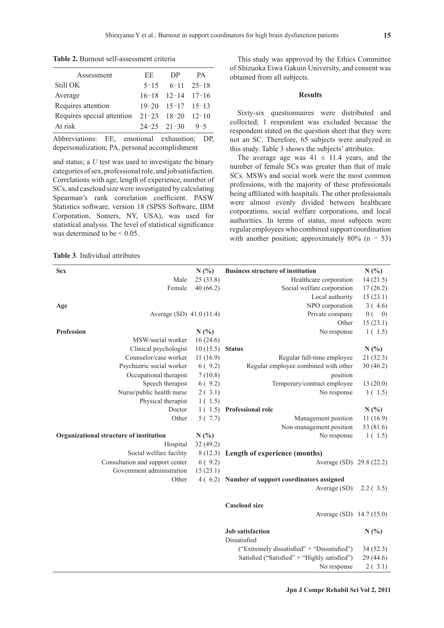**Table 2.** Burnout self-assessment criteria

| Assessment                                   | EE. | DP.                     | PA. |
|----------------------------------------------|-----|-------------------------|-----|
| Still OK                                     |     | $5-15$ $6-11$ $25-18$   |     |
| Average                                      |     | $16-18$ $12-14$ $17-16$ |     |
| Requires attention                           |     | $19-20$ $15-17$ $15-13$ |     |
| Requires special attention 21-23 18-20 12-10 |     |                         |     |
| At risk                                      |     | $24-25$ $21-30$ $9-5$   |     |

Abbreviations: EE, emotional exhaustion: DP depersonalization; PA, personal accomplishment

and status; a *U* test was used to investigate the binary categories of sex, professional role, and job satisfaction. Correlations with age, length of experience, number of SCs, and caseload size were investigated by calculating Spearman's rank correlation coefficient. PASW Statistics software, version 18 (SPSS Software, IBM Corporation, Somers, NY, USA), was used for statistical analysis. The level of statistical significance was determined to be  $\leq 0.05$ .

This study was approved by the Ethics Committee of Shizuoka Eiwa Gakuin University, and consent was obtained from all subjects.

#### **Results**

Sixty-six questionnaires were distributed and collected; 1 respondent was excluded because the respondent stated on the question sheet that they were not an SC. Therefore, 65 subjects were analyzed in this study. Table 3 shows the subjects' attributes.

The average age was  $41 \pm 11.4$  years, and the number of female SCs was greater than that of male SCs. MSWs and social work were the most common professions, with the majority of these professionals being affiliated with hospitals. The other professionals were almost evenly divided between healthcare corporations, social welfare corporations, and local authorities. In terms of status, most subjects were regular employees who combined support coordination with another position; approximately  $80\%$  (n = 53)

**Table 3**. Individual attributes

| <b>Sex</b>                              | N(%)     | <b>Business structure of institution</b>        | N(%)                    |
|-----------------------------------------|----------|-------------------------------------------------|-------------------------|
| Male                                    | 25(33.8) | Healthcare corporation                          | 14(21.5)                |
| Female                                  | 40(66.2) | Social welfare corporation                      | 17(26.2)                |
|                                         |          | Local authority                                 | 15(23.1)                |
| Age                                     |          | NPO corporation                                 | 3(4.6)                  |
| Average (SD) 41.0 (11.4)                |          | Private company                                 | 0(<br>$\left( 0\right)$ |
|                                         |          | Other                                           | 15(23.1)                |
| <b>Profession</b>                       | N(%)     | No response                                     | 1(1.5)                  |
| MSW/social worker                       | 16(24.6) |                                                 |                         |
| Clinical psychologist                   | 10(15.5) | <b>Status</b>                                   | N(%)                    |
| Counselor/case worker                   | 11(16.9) | Regular full-time employee                      | 21 (32.3)               |
| Psychiatric social worker               | 6(9.2)   | Regular employee combined with other            | 30(46.2)                |
| Occupational therapist                  | 7(10.8)  | position                                        |                         |
| Speech therapist                        | 6(9.2)   | Temporary/contract employee                     | 13(20.0)                |
| Nurse/public health nurse               | 2(3.1)   | No response                                     | 1(1.5)                  |
| Physical therapist                      | 1(1.5)   |                                                 |                         |
| Doctor                                  | 1(1.5)   | Professional role                               | N(%)                    |
| Other                                   | 5(7.7)   | Management position                             | 11(16.9)                |
|                                         |          | Non-management position                         | 53 (81.6)               |
| Organizational structure of institution | N(%)     | No response                                     | 1(1.5)                  |
| Hospital                                | 32(49.2) |                                                 |                         |
| Social welfare facility                 | 8(12.3)  | Length of experience (months)                   |                         |
| Consultation and support center         | 6(9.2)   | Average (SD) 29.8 (22.2)                        |                         |
| Government administration               | 15(23.1) |                                                 |                         |
| Other                                   |          | 4 (6.2) Number of support coordinators assigned |                         |
|                                         |          | Average (SD)                                    | 2.2(3.5)                |
|                                         |          |                                                 |                         |
|                                         |          | <b>Caseload size</b>                            |                         |
|                                         |          | Average (SD) 14.7 (15.0)                        |                         |
|                                         |          | <b>Job</b> satisfaction                         | N(%                     |
|                                         |          | Dissatisfied                                    |                         |
|                                         |          | ("Extremely dissatisfied" + "Dissatisfied")     | 34(52.3)                |
|                                         |          | Satisfied ("Satisfied" + "Highly satisfied")    | 29 (44.6)               |
|                                         |          | No response                                     | 2(.3.1)                 |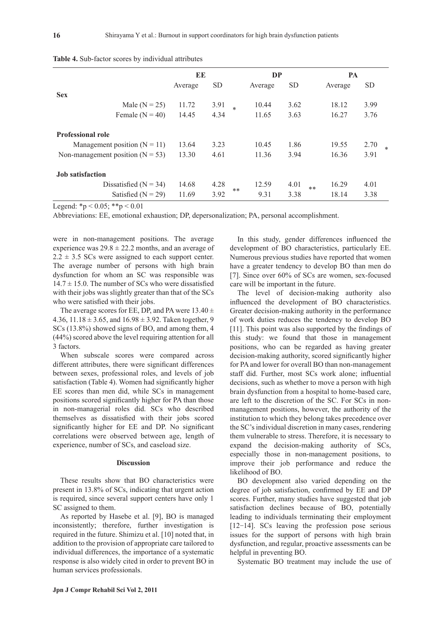|                                      | EE      |           | DP     |         |           | PA             |                |
|--------------------------------------|---------|-----------|--------|---------|-----------|----------------|----------------|
|                                      | Average | <b>SD</b> |        | Average | <b>SD</b> | Average        | <b>SD</b>      |
| <b>Sex</b>                           |         |           |        |         |           |                |                |
| Male ( $N = 25$ )                    | 11.72   | 3.91      | $\ast$ | 10.44   | 3.62      | 18.12          | 3.99           |
| Female $(N = 40)$                    | 14.45   | 4.34      |        | 11.65   | 3.63      | 16.27          | 3.76           |
| <b>Professional role</b>             |         |           |        |         |           |                |                |
| Management position $(N = 11)$       | 13.64   | 3.23      |        | 10.45   | 1.86      | 19.55          | 2.70<br>$\ast$ |
| Non-management position ( $N = 53$ ) | 13.30   | 4.61      |        | 11.36   | 3.94      | 16.36          | 3.91           |
| <b>Job</b> satisfaction              |         |           |        |         |           |                |                |
| Dissatisfied $(N = 34)$              | 14.68   | 4.28      |        | 12.59   | 4.01      | 16.29<br>$***$ | 4.01           |
| Satisfied $(N = 29)$                 | 11.69   | 3.92      | **     | 9.31    | 3.38      | 18.14          | 3.38           |

**Table 4.** Sub-factor scores by individual attributes

Legend:  $*{\rm p} < 0.05$ ;  $*{\rm p} < 0.01$ 

Abbreviations: EE, emotional exhaustion; DP, depersonalization; PA, personal accomplishment.

were in non-management positions. The average experience was  $29.8 \pm 22.2$  months, and an average of  $2.2 \pm 3.5$  SCs were assigned to each support center. The average number of persons with high brain dysfunction for whom an SC was responsible was  $14.7 \pm 15.0$ . The number of SCs who were dissatisfied with their jobs was slightly greater than that of the SCs who were satisfied with their jobs.

The average scores for EE, DP, and PA were  $13.40 \pm$ 4.36, 11.18  $\pm$  3.65, and 16.98  $\pm$  3.92. Taken together, 9 SCs (13.8%) showed signs of BO, and among them, 4 (44%) scored above the level requiring attention for all 3 factors.

When subscale scores were compared across different attributes, there were significant differences between sexes, professional roles, and levels of job satisfaction (Table 4). Women had significantly higher EE scores than men did, while SCs in management positions scored significantly higher for PA than those in non-managerial roles did. SCs who described themselves as dissatisfied with their jobs scored significantly higher for EE and DP. No significant correlations were observed between age, length of experience, number of SCs, and caseload size.

### **Discussion**

These results show that BO characteristics were present in 13.8% of SCs, indicating that urgent action is required, since several support centers have only 1 SC assigned to them.

As reported by Hasebe et al. [9], BO is managed inconsistently; therefore, further investigation is required in the future. Shimizu et al. [10] noted that, in addition to the provision of appropriate care tailored to individual differences, the importance of a systematic response is also widely cited in order to prevent BO in human services professionals.

In this study, gender differences influenced the development of BO characteristics, particularly EE. Numerous previous studies have reported that women have a greater tendency to develop BO than men do [7]. Since over 60% of SCs are women, sex-focused care will be important in the future.

The level of decision-making authority also influenced the development of BO characteristics. Greater decision-making authority in the performance of work duties reduces the tendency to develop BO  $[11]$ . This point was also supported by the findings of this study: we found that those in management positions, who can be regarded as having greater decision-making authority, scored significantly higher for PA and lower for overall BO than non-management staff did. Further, most SCs work alone; influential decisions, such as whether to move a person with high brain dysfunction from a hospital to home-based care, are left to the discretion of the SC. For SCs in nonmanagement positions, however, the authority of the institution to which they belong takes precedence over the SC's individual discretion in many cases, rendering them vulnerable to stress. Therefore, it is necessary to expand the decision-making authority of SCs, especially those in non-management positions, to improve their job performance and reduce the likelihood of BO.

BO development also varied depending on the degree of job satisfaction, confirmed by EE and DP scores. Further, many studies have suggested that job satisfaction declines because of BO, potentially leading to individuals terminating their employment [12-14]. SCs leaving the profession pose serious issues for the support of persons with high brain dysfunction, and regular, proactive assessments can be helpful in preventing BO.

Systematic BO treatment may include the use of